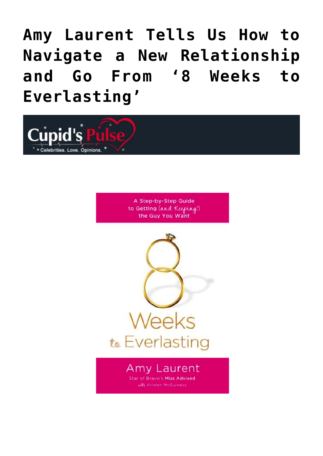# **[Amy Laurent Tells Us How to](https://cupidspulse.com/36561/miss-advised-amy-laurent-8-weeks-to-everlasting/) [Navigate a New Relationship](https://cupidspulse.com/36561/miss-advised-amy-laurent-8-weeks-to-everlasting/) [and Go From '8 Weeks to](https://cupidspulse.com/36561/miss-advised-amy-laurent-8-weeks-to-everlasting/) [Everlasting'](https://cupidspulse.com/36561/miss-advised-amy-laurent-8-weeks-to-everlasting/)**



A Step-by-Step Guide to Getting (and Keeping!) the Guy You Want



#### **Amy Laurent Star of Bravo's Miss Advised** with Kristen McGuiness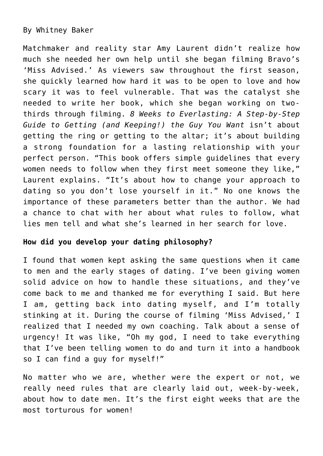### By Whitney Baker

Matchmaker and reality star Amy Laurent didn't realize how much she needed her own help until she began filming Bravo's 'Miss Advised.' As viewers saw throughout the first season, she quickly learned how hard it was to be open to love and how scary it was to feel vulnerable. That was the catalyst she needed to write her book, which she began working on twothirds through filming. *8 Weeks to Everlasting: A Step-by-Step Guide to Getting (and Keeping!) the Guy You Want* isn't about getting the ring or getting to the altar; it's about building a strong foundation for a lasting relationship with your perfect person. "This book offers simple guidelines that every women needs to follow when they first meet someone they like," Laurent explains. "It's about how to change your approach to dating so you don't lose yourself in it." No one knows the importance of these parameters better than the author. We had a chance to chat with her about what rules to follow, what lies men tell and what she's learned in her search for love.

### **How did you develop your dating philosophy?**

I found that women kept asking the same questions when it came to men and the early stages of dating. I've been giving women solid advice on how to handle these situations, and they've come back to me and thanked me for everything I said. But here I am, getting back into dating myself, and I'm totally stinking at it. During the course of filming 'Miss Advised,' I realized that I needed my own coaching. Talk about a sense of urgency! It was like, "Oh my god, I need to take everything that I've been telling women to do and turn it into a handbook so I can find a guy for myself!"

No matter who we are, whether were the expert or not, we really need rules that are clearly laid out, week-by-week, about how to date men. It's the first eight weeks that are the most torturous for women!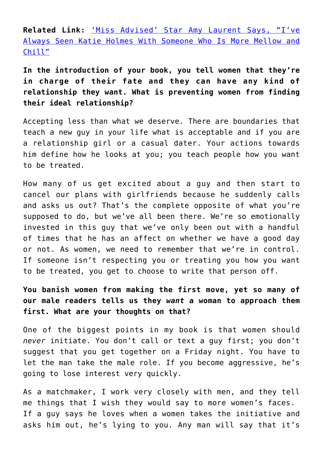**Related Link:** ['Miss Advised' Star Amy Laurent Says, "I've](http://cupidspulse.com/miss-advised-amy-laurent-bravo-katie-holmes-tom-cruise/) [Always Seen Katie Holmes With Someone Who Is More Mellow and](http://cupidspulse.com/miss-advised-amy-laurent-bravo-katie-holmes-tom-cruise/) [Chill"](http://cupidspulse.com/miss-advised-amy-laurent-bravo-katie-holmes-tom-cruise/)

**In the introduction of your book, you tell women that they're in charge of their fate and they can have any kind of relationship they want. What is preventing women from finding their ideal relationship?**

Accepting less than what we deserve. There are boundaries that teach a new guy in your life what is acceptable and if you are a relationship girl or a casual dater. Your actions towards him define how he looks at you; you teach people how you want to be treated.

How many of us get excited about a guy and then start to cancel our plans with girlfriends because he suddenly calls and asks us out? That's the complete opposite of what you're supposed to do, but we've all been there. We're so emotionally invested in this guy that we've only been out with a handful of times that he has an affect on whether we have a good day or not. As women, we need to remember that we're in control. If someone isn't respecting you or treating you how you want to be treated, you get to choose to write that person off.

**You banish women from making the first move, yet so many of our male readers tells us they** *want* **a woman to approach them first. What are your thoughts on that?**

One of the biggest points in my book is that women should *never* initiate. You don't call or text a guy first; you don't suggest that you get together on a Friday night. You have to let the man take the male role. If you become aggressive, he's going to lose interest very quickly.

As a matchmaker, I work very closely with men, and they tell me things that I wish they would say to more women's faces. If a guy says he loves when a women takes the initiative and asks him out, he's lying to you. Any man will say that it's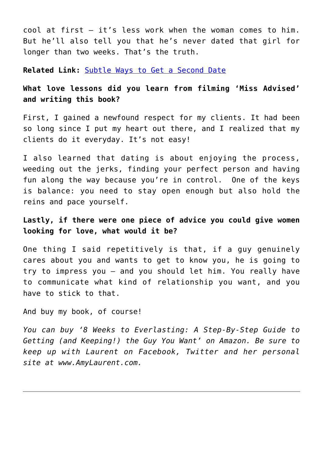cool at first — it's less work when the woman comes to him. But he'll also tell you that he's never dated that girl for longer than two weeks. That's the truth.

**Related Link:** [Subtle Ways to Get a Second Date](http://cupidspulse.com/ways-get-second-date-after-great-first-date/)

### **What love lessons did you learn from filming 'Miss Advised' and writing this book?**

First, I gained a newfound respect for my clients. It had been so long since I put my heart out there, and I realized that my clients do it everyday. It's not easy!

I also learned that dating is about enjoying the process, weeding out the jerks, finding your perfect person and having fun along the way because you're in control. One of the keys is balance: you need to stay open enough but also hold the reins and pace yourself.

### **Lastly, if there were one piece of advice you could give women looking for love, what would it be?**

One thing I said repetitively is that, if a guy genuinely cares about you and wants to get to know you, he is going to try to impress you — and you should let him. You really have to communicate what kind of relationship you want, and you have to stick to that.

And buy my book, of course!

*You can buy '8 Weeks to Everlasting: A Step-By-Step Guide to Getting (and Keeping!) the Guy You Want' on Amazon. Be sure to keep up with Laurent on Facebook, Twitter and her personal site at www.AmyLaurent.com.*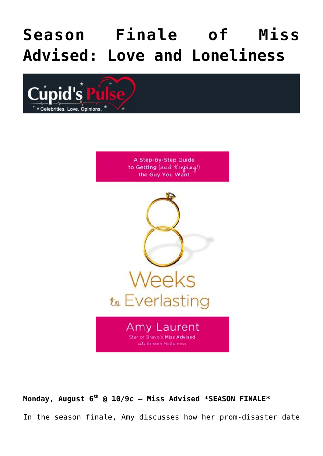# **[Season Finale of Miss](https://cupidspulse.com/36221/season-finale-of-miss-advised-love-and-loneliness-2/) [Advised: Love and Loneliness](https://cupidspulse.com/36221/season-finale-of-miss-advised-love-and-loneliness-2/)**



A Step-by-Step Guide to Getting (and Keeping!) the Guy You Want



**Monday, August 6th @ 10/9c — Miss Advised \*SEASON FINALE\*** In the season finale, Amy discusses how her prom-disaster date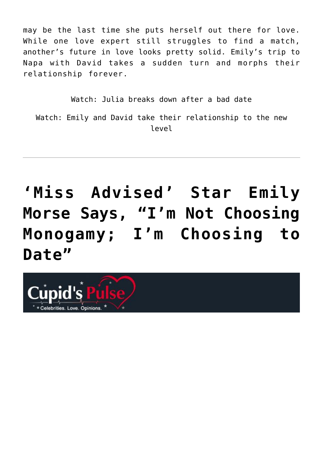may be the last time she puts herself out there for love. While one love expert still struggles to find a match, another's future in love looks pretty solid. Emily's trip to Napa with David takes a sudden turn and morphs their relationship forever.

Watch: Julia breaks down after a bad date Watch: Emily and David take their relationship to the new level

**['Miss Advised' Star Emily](https://cupidspulse.com/36111/miss-advised-reality-star-sex-expert-emily-morse-im-not-choosing-monogamy-im-choosing-date/) [Morse Says, "I'm Not Choosing](https://cupidspulse.com/36111/miss-advised-reality-star-sex-expert-emily-morse-im-not-choosing-monogamy-im-choosing-date/) [Monogamy; I'm Choosing to](https://cupidspulse.com/36111/miss-advised-reality-star-sex-expert-emily-morse-im-not-choosing-monogamy-im-choosing-date/) [Date"](https://cupidspulse.com/36111/miss-advised-reality-star-sex-expert-emily-morse-im-not-choosing-monogamy-im-choosing-date/)**

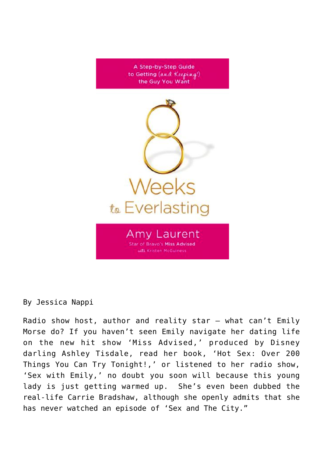

By Jessica Nappi

Radio show host, author and reality star — what can't Emily Morse do? If you haven't seen Emily navigate her dating life on the new hit show 'Miss Advised,' produced by Disney darling Ashley Tisdale, read her book, 'Hot Sex: Over 200 Things You Can Try Tonight!,' or listened to her radio show, 'Sex with Emily,' no doubt you soon will because this young lady is just getting warmed up. She's even been dubbed the real-life Carrie Bradshaw, although she openly admits that she has never watched an episode of 'Sex and The City."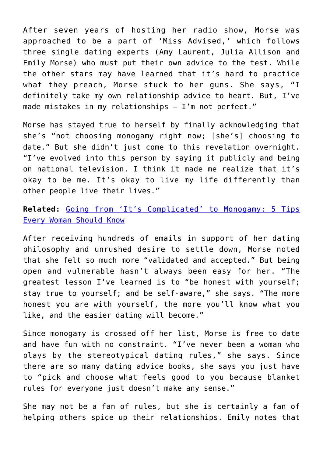After seven years of hosting her radio show, Morse was approached to be a part of 'Miss Advised,' which follows three single dating experts (Amy Laurent, Julia Allison and Emily Morse) who must put their own advice to the test. While the other stars may have learned that it's hard to practice what they preach, Morse stuck to her guns. She says, "I definitely take my own relationship advice to heart. But, I've made mistakes in my relationships – I'm not perfect."

Morse has stayed true to herself by finally acknowledging that she's "not choosing monogamy right now; [she's] choosing to date." But she didn't just come to this revelation overnight. "I've evolved into this person by saying it publicly and being on national television. I think it made me realize that it's okay to be me. It's okay to live my life differently than other people live their lives."

**Related:** [Going from 'It's Complicated' to Monogamy: 5 Tips](http://cupidspulse.com/going-from-it%E2%80%99s-complicated-to-monogamy-5-tips-every-woman-should-know/) [Every Woman Should Know](http://cupidspulse.com/going-from-it%E2%80%99s-complicated-to-monogamy-5-tips-every-woman-should-know/)

After receiving hundreds of emails in support of her dating philosophy and unrushed desire to settle down, Morse noted that she felt so much more "validated and accepted." But being open and vulnerable hasn't always been easy for her. "The greatest lesson I've learned is to "be honest with yourself; stay true to yourself; and be self-aware," she says. "The more honest you are with yourself, the more you'll know what you like, and the easier dating will become."

Since monogamy is crossed off her list, Morse is free to date and have fun with no constraint. "I've never been a woman who plays by the stereotypical dating rules," she says. Since there are so many dating advice books, she says you just have to "pick and choose what feels good to you because blanket rules for everyone just doesn't make any sense."

She may not be a fan of rules, but she is certainly a fan of helping others spice up their relationships. Emily notes that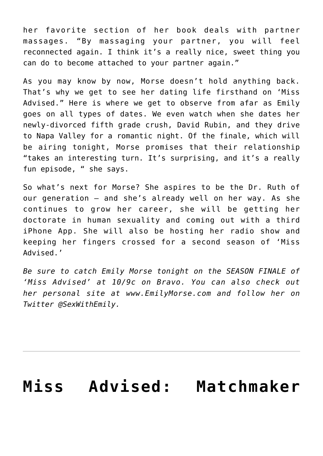her favorite section of her book deals with partner massages. "By massaging your partner, you will feel reconnected again. I think it's a really nice, sweet thing you can do to become attached to your partner again."

As you may know by now, Morse doesn't hold anything back. That's why we get to see her dating life firsthand on 'Miss Advised." Here is where we get to observe from afar as Emily goes on all types of dates. We even watch when she dates her newly-divorced fifth grade crush, David Rubin, and they drive to Napa Valley for a romantic night. Of the finale, which will be airing tonight, Morse promises that their relationship "takes an interesting turn. It's surprising, and it's a really fun episode, " she says.

So what's next for Morse? She aspires to be the Dr. Ruth of our generation — and she's already well on her way. As she continues to grow her career, she will be getting her doctorate in human sexuality and coming out with a third iPhone App. She will also be hosting her radio show and keeping her fingers crossed for a second season of 'Miss Advised.'

*Be sure to catch Emily Morse tonight on the SEASON FINALE of 'Miss Advised' at 10/9c on Bravo. You can also check out her personal site at www.EmilyMorse.com and follow her on Twitter @SexWithEmily.* 

# **[Miss Advised: Matchmaker](https://cupidspulse.com/35702/miss-advised-matchmaker-doesnt-believe-the-one-exists/)**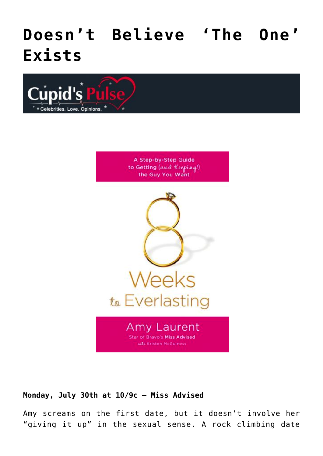## **[Doesn't Believe 'The One'](https://cupidspulse.com/35702/miss-advised-matchmaker-doesnt-believe-the-one-exists/) [Exists](https://cupidspulse.com/35702/miss-advised-matchmaker-doesnt-believe-the-one-exists/)**



A Step-by-Step Guide to Getting (and Keeping!) the Guy You Want



#### **Monday, July 30th at 10/9c – Miss Advised**

Amy screams on the first date, but it doesn't involve her "giving it up" in the sexual sense. A rock climbing date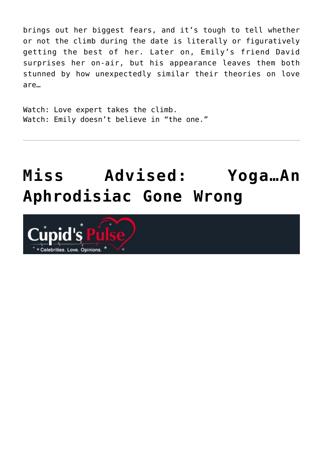brings out her biggest fears, and it's tough to tell whether or not the climb during the date is literally or figuratively getting the best of her. Later on, Emily's friend David surprises her on-air, but his appearance leaves them both stunned by how unexpectedly similar their theories on love are…

Watch: Love expert takes the climb. Watch: Emily doesn't believe in "the one."

# **[Miss Advised: Yoga…An](https://cupidspulse.com/34889/miss-advised-yoga-an-aphrodisiac-gone-wrong-an-aphrodisaic-gone-wrong-on-miss-advised-bravo-tv/) [Aphrodisiac Gone Wrong](https://cupidspulse.com/34889/miss-advised-yoga-an-aphrodisiac-gone-wrong-an-aphrodisaic-gone-wrong-on-miss-advised-bravo-tv/)**

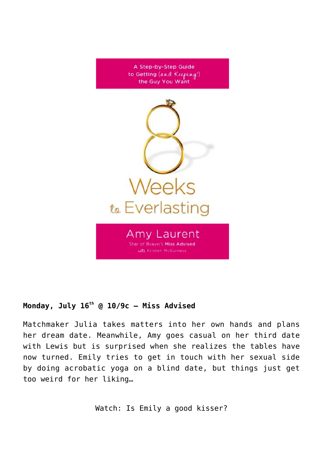

### **Monday, July 16th @ 10/9c — Miss Advised**

Matchmaker Julia takes matters into her own hands and plans her dream date. Meanwhile, Amy goes casual on her third date with Lewis but is surprised when she realizes the tables have now turned. Emily tries to get in touch with her sexual side by doing acrobatic yoga on a blind date, but things just get too weird for her liking…

Watch: Is Emily a good kisser?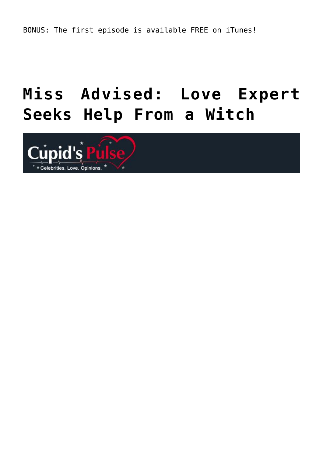# **[Miss Advised: Love Expert](https://cupidspulse.com/34525/miss-advised-love-expert-seeks-help-from-a-witch/) [Seeks Help From a Witch](https://cupidspulse.com/34525/miss-advised-love-expert-seeks-help-from-a-witch/)**

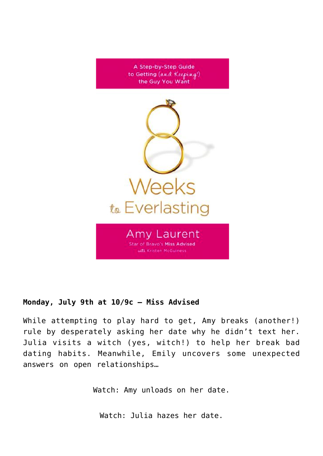

### **Monday, July 9th at 10/9c – Miss Advised**

While attempting to play hard to get, Amy breaks (another!) rule by desperately asking her date why he didn't text her. Julia visits a witch (yes, witch!) to help her break bad dating habits. Meanwhile, Emily uncovers some unexpected answers on open relationships…

Watch: Amy unloads on her date.

Watch: Julia hazes her date.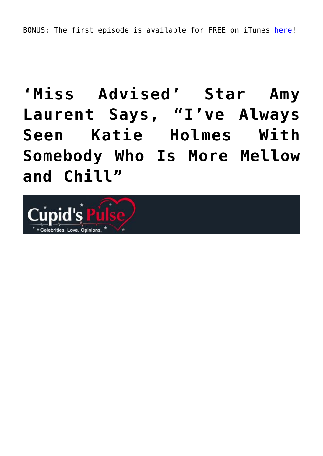BONUS: The first episode is available for FREE on iTunes [here](http://itunes.apple.com/us/tv-season/miss-advised-season-1/id533946569)!

# **['Miss Advised' Star Amy](https://cupidspulse.com/34383/miss-advised-amy-laurent-bravo-katie-holmes-tom-cruise/) [Laurent Says, "I've Always](https://cupidspulse.com/34383/miss-advised-amy-laurent-bravo-katie-holmes-tom-cruise/) [Seen Katie Holmes With](https://cupidspulse.com/34383/miss-advised-amy-laurent-bravo-katie-holmes-tom-cruise/) [Somebody Who Is More Mellow](https://cupidspulse.com/34383/miss-advised-amy-laurent-bravo-katie-holmes-tom-cruise/) [and Chill"](https://cupidspulse.com/34383/miss-advised-amy-laurent-bravo-katie-holmes-tom-cruise/)**

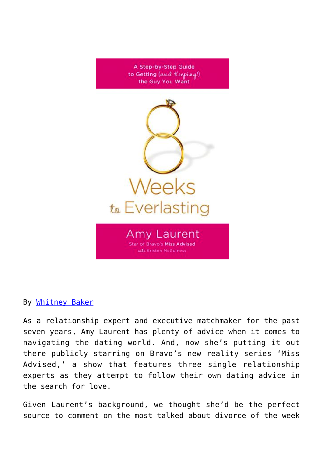

By [Whitney Baker](http://cupidspulse.com/search-results/?q=Whitney+Baker)

As a relationship expert and executive matchmaker for the past seven years, Amy Laurent has plenty of advice when it comes to navigating the dating world. And, now she's putting it out there publicly starring on Bravo's new reality series 'Miss Advised,' a show that features three single relationship experts as they attempt to follow their own dating advice in the search for love.

Given Laurent's background, we thought she'd be the perfect source to comment on the most talked about divorce of the week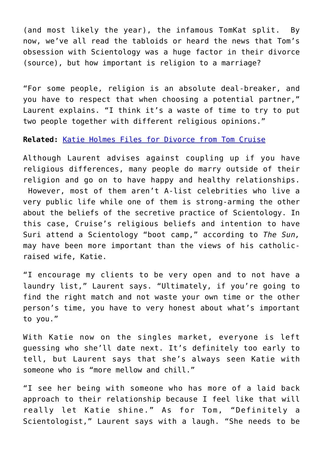(and most likely the year), the infamous TomKat split. By now, we've all read the tabloids or heard the news that Tom's obsession with Scientology was a huge factor in their divorce (source), but how important is religion to a marriage?

"For some people, religion is an absolute deal-breaker, and you have to respect that when choosing a potential partner," Laurent explains. "I think it's a waste of time to try to put two people together with different religious opinions."

#### **Related:** [Katie Holmes Files for Divorce from Tom Cruise](http://cupidspulse.com/katie-holmes-files-for-divorce-from-tom-cruise/)

Although Laurent advises against coupling up if you have religious differences, many people do marry outside of their religion and go on to have happy and healthy relationships. However, most of them aren't A-list celebrities who live a very public life while one of them is strong-arming the other about the beliefs of the secretive practice of Scientology. In this case, Cruise's religious beliefs and intention to have Suri attend a Scientology "boot camp," according to *The Sun,* may have been more important than the views of his catholicraised wife, Katie.

"I encourage my clients to be very open and to not have a laundry list," Laurent says. "Ultimately, if you're going to find the right match and not waste your own time or the other person's time, you have to very honest about what's important to you."

With Katie now on the singles market, everyone is left guessing who she'll date next. It's definitely too early to tell, but Laurent says that she's always seen Katie with someone who is "more mellow and chill."

"I see her being with someone who has more of a laid back approach to their relationship because I feel like that will really let Katie shine." As for Tom, "Definitely a Scientologist," Laurent says with a laugh. "She needs to be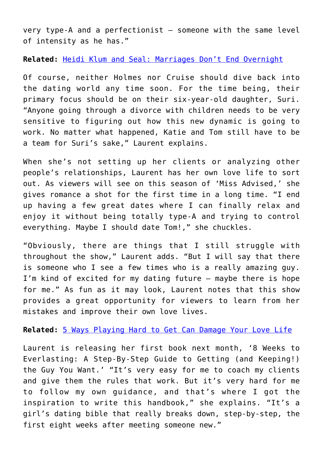very type-A and a perfectionist — someone with the same level of intensity as he has."

**Related:** [Heidi Klum and Seal: Marriages Don't End Overnight](http://cupidspulse.com/heidi-klum-seal-divorce-separate-split-marriage-end/)

Of course, neither Holmes nor Cruise should dive back into the dating world any time soon. For the time being, their primary focus should be on their six-year-old daughter, Suri. "Anyone going through a divorce with children needs to be very sensitive to figuring out how this new dynamic is going to work. No matter what happened, Katie and Tom still have to be a team for Suri's sake," Laurent explains.

When she's not setting up her clients or analyzing other people's relationships, Laurent has her own love life to sort out. As viewers will see on this season of 'Miss Advised,' she gives romance a shot for the first time in a long time. "I end up having a few great dates where I can finally relax and enjoy it without being totally type-A and trying to control everything. Maybe I should date Tom!," she chuckles.

"Obviously, there are things that I still struggle with throughout the show," Laurent adds. "But I will say that there is someone who I see a few times who is a really amazing guy. I'm kind of excited for my dating future — maybe there is hope for me." As fun as it may look, Laurent notes that this show provides a great opportunity for viewers to learn from her mistakes and improve their own love lives.

**Related:** [5 Ways Playing Hard to Get Can Damage Your Love Life](http://cupidspulse.com/5-ways-playing-hard-to-get-damage-love-life/)

Laurent is releasing her first book next month, '8 Weeks to Everlasting: A Step-By-Step Guide to Getting (and Keeping!) the Guy You Want.' "It's very easy for me to coach my clients and give them the rules that work. But it's very hard for me to follow my own guidance, and that's where I got the inspiration to write this handbook," she explains. "It's a girl's dating bible that really breaks down, step-by-step, the first eight weeks after meeting someone new."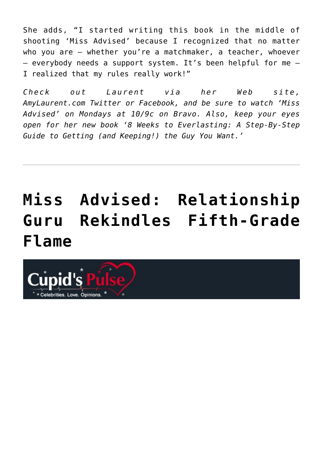She adds, "I started writing this book in the middle of shooting 'Miss Advised' because I recognized that no matter who you are — whether you're a matchmaker, a teacher, whoever — everybody needs a support system. It's been helpful for me — I realized that my rules really work!"

*Check out Laurent via her Web site, AmyLaurent.com Twitter or Facebook, and be sure to watch 'Miss Advised' on Mondays at 10/9c on Bravo. Also, keep your eyes open for her new book '8 Weeks to Everlasting: A Step-By-Step Guide to Getting (and Keeping!) the Guy You Want.'*

# **[Miss Advised: Relationship](https://cupidspulse.com/34174/miss-advised-relationship-guru-rekindles-5th-grade-flame-bravo/) [Guru Rekindles Fifth-Grade](https://cupidspulse.com/34174/miss-advised-relationship-guru-rekindles-5th-grade-flame-bravo/) [Flame](https://cupidspulse.com/34174/miss-advised-relationship-guru-rekindles-5th-grade-flame-bravo/)**

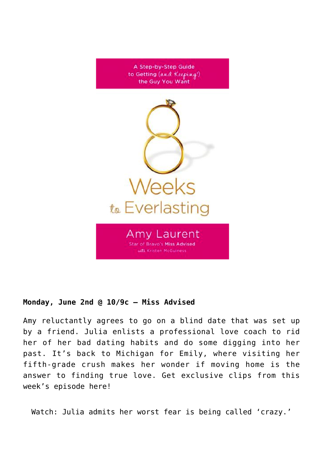

### **Monday, June 2nd @ 10/9c — Miss Advised**

Amy reluctantly agrees to go on a blind date that was set up by a friend. Julia enlists a professional love coach to rid her of her bad dating habits and do some digging into her past. It's back to Michigan for Emily, where visiting her fifth-grade crush makes her wonder if moving home is the answer to finding true love. Get exclusive clips from this week's episode here!

Watch: Julia admits her worst fear is being called 'crazy.'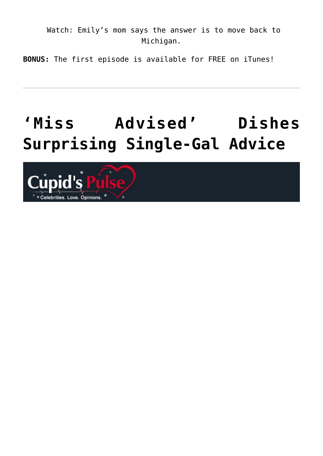Watch: Emily's mom says the answer is to move back to Michigan.

**BONUS:** The first episode is available for FREE on iTunes!

# **['Miss Advised' Dishes](https://cupidspulse.com/33743/miss-advised-dishes-surprising-single-gal-advice-bravo/) [Surprising Single-Gal Advice](https://cupidspulse.com/33743/miss-advised-dishes-surprising-single-gal-advice-bravo/)**

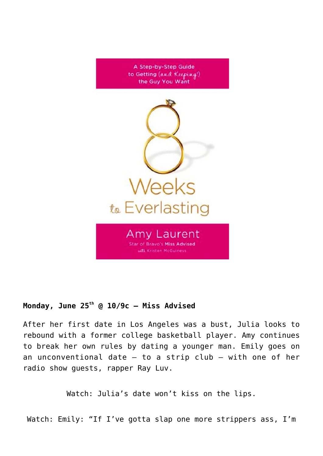

### **Monday, June 25th @ 10/9c — Miss Advised**

After her first date in Los Angeles was a bust, Julia looks to rebound with a former college basketball player. Amy continues to break her own rules by dating a younger man. Emily goes on an unconventional date  $-$  to a strip club  $-$  with one of her radio show guests, rapper Ray Luv.

Watch: Julia's date won't kiss on the lips.

Watch: Emily: "If I've gotta slap one more strippers ass, I'm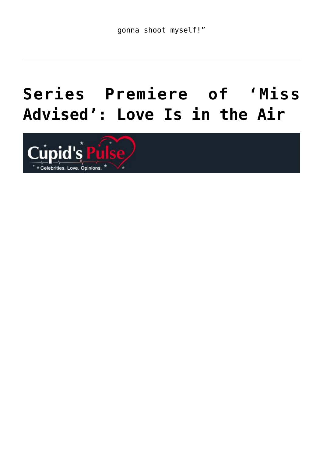# **[Series Premiere of 'Miss](https://cupidspulse.com/33220/series-premiere-of-miss-advised-love-is-in-the-air/) [Advised': Love Is in the Air](https://cupidspulse.com/33220/series-premiere-of-miss-advised-love-is-in-the-air/)**

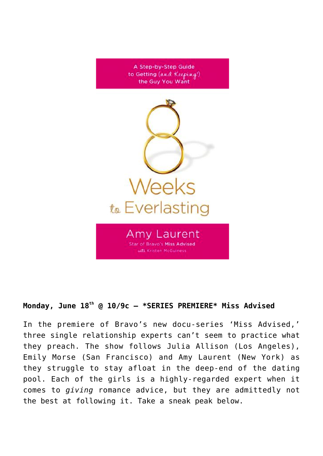

### **Monday, June 18th @ 10/9c — \*SERIES PREMIERE\* Miss Advised**

In the premiere of Bravo's new docu-series 'Miss Advised,' three single relationship experts can't seem to practice what they preach. The show follows Julia Allison (Los Angeles), Emily Morse (San Francisco) and Amy Laurent (New York) as they struggle to stay afloat in the deep-end of the dating pool. Each of the girls is a highly-regarded expert when it comes to *giving* romance advice, but they are admittedly not the best at following it. Take a sneak peak below.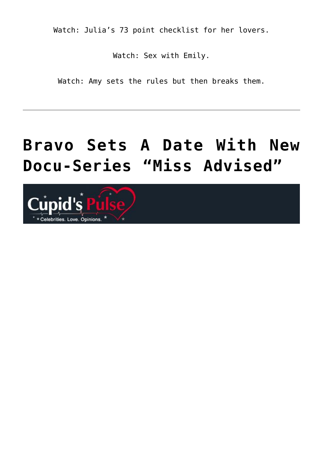Watch: Julia's 73 point checklist for her lovers.

Watch: Sex with Emily.

Watch: Amy sets the rules but then breaks them.

## **[Bravo Sets A Date With New](https://cupidspulse.com/32479/bravo-missed-advised-monday/) [Docu-Series "Miss Advised"](https://cupidspulse.com/32479/bravo-missed-advised-monday/)**

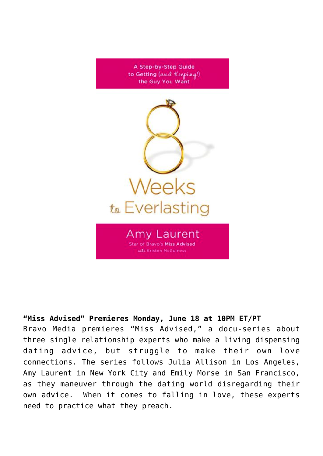

## **"Miss Advised" Premieres Monday, June 18 at 10PM ET/PT**

Bravo Media premieres "Miss Advised," a docu-series about three single relationship experts who make a living dispensing dating advice, but struggle to make their own love connections. The series follows Julia Allison in Los Angeles, Amy Laurent in New York City and Emily Morse in San Francisco, as they maneuver through the dating world disregarding their own advice. When it comes to falling in love, these experts need to practice what they preach.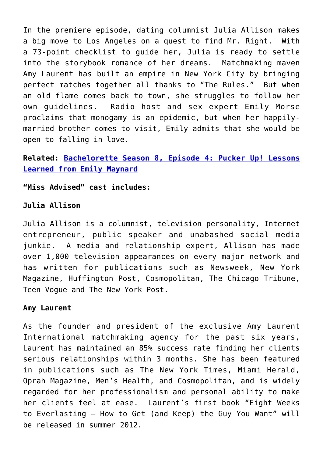In the premiere episode, dating columnist Julia Allison makes a big move to Los Angeles on a quest to find Mr. Right. With a 73-point checklist to guide her, Julia is ready to settle into the storybook romance of her dreams. Matchmaking maven Amy Laurent has built an empire in New York City by bringing perfect matches together all thanks to "The Rules." But when an old flame comes back to town, she struggles to follow her own guidelines. Radio host and sex expert Emily Morse proclaims that monogamy is an epidemic, but when her happilymarried brother comes to visit, Emily admits that she would be open to falling in love.

### **Related: [Bachelorette Season 8, Episode 4: Pucker Up! Lessons](http://cupidspulse.com/bachelorette-season-8-lessons-learned-emily-maynard/) [Learned from Emily Maynard](http://cupidspulse.com/bachelorette-season-8-lessons-learned-emily-maynard/)**

**"Miss Advised" cast includes:**

#### **Julia Allison**

Julia Allison is a columnist, television personality, Internet entrepreneur, public speaker and unabashed social media junkie. A media and relationship expert, Allison has made over 1,000 television appearances on every major network and has written for publications such as Newsweek, New York Magazine, Huffington Post, Cosmopolitan, The Chicago Tribune, Teen Vogue and The New York Post.

#### **Amy Laurent**

As the founder and president of the exclusive Amy Laurent International matchmaking agency for the past six years, Laurent has maintained an 85% success rate finding her clients serious relationships within 3 months. She has been featured in publications such as The New York Times, Miami Herald, Oprah Magazine, Men's Health, and Cosmopolitan, and is widely regarded for her professionalism and personal ability to make her clients feel at ease. Laurent's first book "Eight Weeks to Everlasting — How to Get (and Keep) the Guy You Want" will be released in summer 2012.